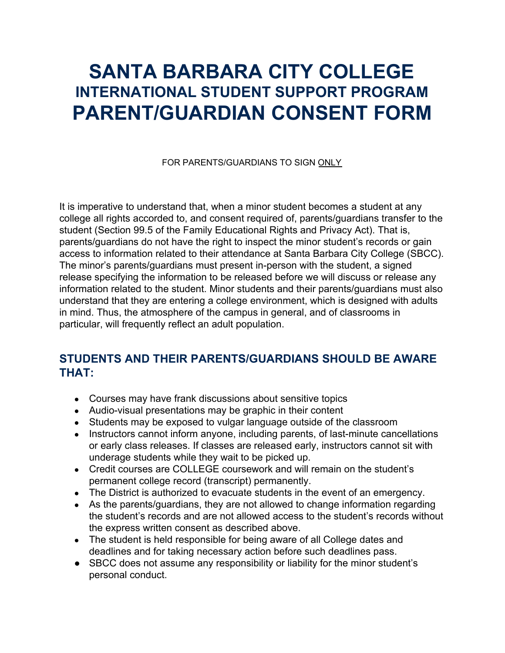## **SANTA BARBARA CITY COLLEGE INTERNATIONAL STUDENT SUPPORT PROGRAM PARENT/GUARDIAN CONSENT FORM**

FOR PARENTS/GUARDIANS TO SIGN ONLY

It is imperative to understand that, when a minor student becomes a student at any college all rights accorded to, and consent required of, parents/guardians transfer to the student (Section 99.5 of the Family Educational Rights and Privacy Act). That is, parents/guardians do not have the right to inspect the minor student's records or gain access to information related to their attendance at Santa Barbara City College (SBCC). The minor's parents/guardians must present in-person with the student, a signed release specifying the information to be released before we will discuss or release any information related to the student. Minor students and their parents/guardians must also understand that they are entering a college environment, which is designed with adults in mind. Thus, the atmosphere of the campus in general, and of classrooms in particular, will frequently reflect an adult population.

## **STUDENTS AND THEIR PARENTS/GUARDIANS SHOULD BE AWARE THAT:**

- Courses may have frank discussions about sensitive topics
- Audio-visual presentations may be graphic in their content
- Students may be exposed to vulgar language outside of the classroom
- Instructors cannot inform anyone, including parents, of last-minute cancellations or early class releases. If classes are released early, instructors cannot sit with underage students while they wait to be picked up.
- Credit courses are COLLEGE coursework and will remain on the student's permanent college record (transcript) permanently.
- The District is authorized to evacuate students in the event of an emergency.
- As the parents/guardians, they are not allowed to change information regarding the student's records and are not allowed access to the student's records without the express written consent as described above.
- The student is held responsible for being aware of all College dates and deadlines and for taking necessary action before such deadlines pass.
- SBCC does not assume any responsibility or liability for the minor student's personal conduct.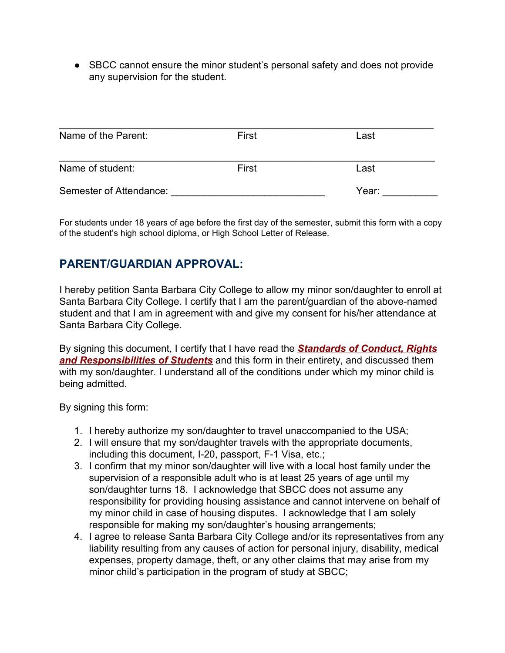• SBCC cannot ensure the minor student's personal safety and does not provide any supervision for the student.

| Name of the Parent:     | First | Last  |
|-------------------------|-------|-------|
| Name of student:        | First | Last  |
| Semester of Attendance: |       | Year: |

For students under 18 years of age before the first day of the semester, submit this form with a copy of the student's high school diploma, or High School Letter of Release.

## **PARENT/GUARDIAN APPROVAL:**

I hereby petition Santa Barbara City College to allow my minor son/daughter to enroll at Santa Barbara City College. I certify that I am the parent/guardian of the above-named student and that I am in agreement with and give my consent for his/her attendance at Santa Barbara City College.

By signing this document, I certify that I have read the *[Standards of Conduct, Rights](http://www.sbcc.edu/security/standards_of_conduct.php) [and Responsibilities of Students](http://www.sbcc.edu/security/standards_of_conduct.php)* and this form in their entirety, and discussed them with my son/daughter. I understand all of the conditions under which my minor child is being admitted.

By signing this form:

- 1. I hereby authorize my son/daughter to travel unaccompanied to the USA;
- 2. I will ensure that my son/daughter travels with the appropriate documents, including this document, I-20, passport, F-1 Visa, etc.;
- 3. I confirm that my minor son/daughter will live with a local host family under the supervision of a responsible adult who is at least 25 years of age until my son/daughter turns 18. I acknowledge that SBCC does not assume any responsibility for providing housing assistance and cannot intervene on behalf of my minor child in case of housing disputes. I acknowledge that I am solely responsible for making my son/daughter's housing arrangements;
- 4. I agree to release Santa Barbara City College and/or its representatives from any liability resulting from any causes of action for personal injury, disability, medical expenses, property damage, theft, or any other claims that may arise from my minor child's participation in the program of study at SBCC;